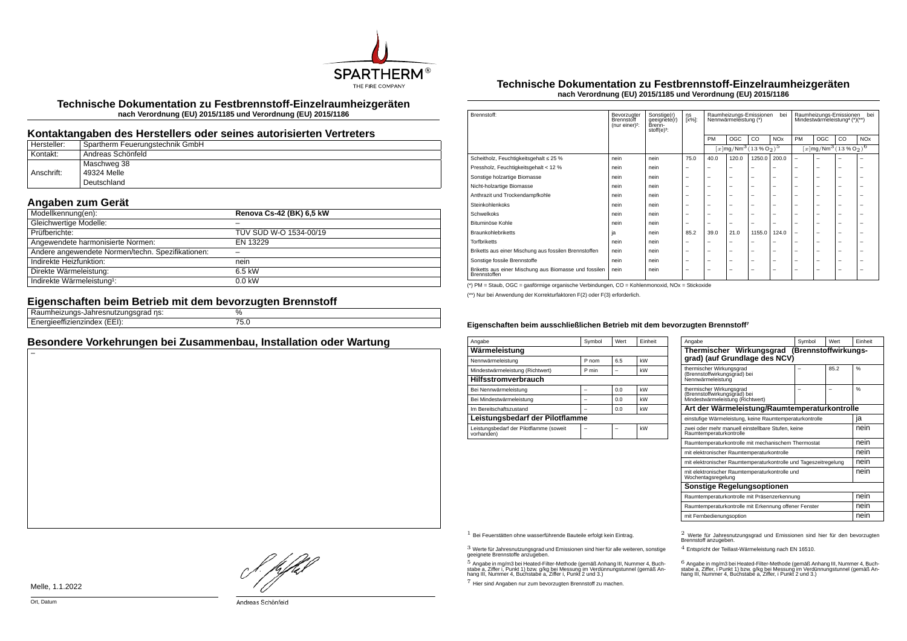

**Technische Dokumentation zu Festbrennstoff-Einzelraumheizgeräten nach Verordnung (EU) 2015/1185 und Verordnung (EU) 2015/1186**

## **Kontaktangaben des Herstellers oder seines autorisierten Vertreters**

| Hersteller: | Spartherm Feuerungstechnik GmbH |
|-------------|---------------------------------|
| Kontakt:    | ' Andreas Schönfeld             |
|             | Maschweg 38                     |
| Anschrift:  | 49324 Melle                     |
|             | Deutschland                     |

# **Angaben zum Gerät**

| Modellkennung(en):                                | Renova Cs-42 (BK) 6,5 kW |
|---------------------------------------------------|--------------------------|
| Gleichwertige Modelle:                            |                          |
| Prüfberichte:                                     | TÜV SÜD W-O 1534-00/19   |
| Angewendete harmonisierte Normen:                 | EN 13229                 |
| Andere angewendete Normen/techn. Spezifikationen: |                          |
| Indirekte Heizfunktion:                           | nein                     |
| Direkte Wärmeleistung:                            | 6.5 kW                   |
| Indirekte Wärmeleistung <sup>1</sup> :            | $0.0$ kW                 |

## **Eigenschaften beim Betrieb mit dem bevorzugten Brennstoff**

| $\sim$<br>.<br>. | υ/r                                   |  |
|------------------|---------------------------------------|--|
| ---<br>--        | --<br>$\cdot$<br>$\sim$ $\sim$ $\sim$ |  |
|                  |                                       |  |

## **Besondere Vorkehrungen bei Zusammenbau, Installation oder Wartung**

### **Technische Dokumentation zu Festbrennstoff-Einzelraumheizgeräten nach Verordnung (EU) 2015/1185 und Verordnung (EU) 2015/1186**

| Brennstoff:                                                           | Bevorzugter<br>Brennstoff<br>(nur einer) <sup>2</sup> : | Sonstige(r)<br>geeignete(r)<br>Brenn-<br>stoff $(e)^3$ : | ηs<br>[x%]: | bei<br>Raumheizungs-Emissionen<br>Nennwärmeleistung (*) |                                                              |                          |                       | bei<br>Raumheizungs-Emissionen<br>Mindestwärmeleistung <sup>4</sup> (*)(**) |                          |    |                       |
|-----------------------------------------------------------------------|---------------------------------------------------------|----------------------------------------------------------|-------------|---------------------------------------------------------|--------------------------------------------------------------|--------------------------|-----------------------|-----------------------------------------------------------------------------|--------------------------|----|-----------------------|
|                                                                       |                                                         |                                                          |             | PM                                                      | OGC                                                          | CO.                      | <b>NO<sub>x</sub></b> | PM                                                                          | OGC                      | CO | <b>NO<sub>x</sub></b> |
|                                                                       |                                                         |                                                          |             |                                                         | $[x]$ mg/Nm <sup>3</sup> (13 % O <sub>2</sub> ) <sup>5</sup> |                          |                       | $[x]$ mg/Nm <sup>3</sup> (13 % O <sub>2</sub> ) <sup>6</sup>                |                          |    |                       |
| Scheitholz, Feuchtigkeitsgehalt ≤ 25 %                                | nein                                                    | nein                                                     | 75.0        | 40.0                                                    | 120.0                                                        | 1250.0                   | 200.0                 | $\overline{\phantom{0}}$                                                    | -                        | -  | -                     |
| Pressholz, Feuchtigkeitsgehalt < 12 %                                 | nein                                                    | nein                                                     | -           | -                                                       | -                                                            | -                        | -                     | -                                                                           | -                        | -  | -                     |
| Sonstige holzartige Biomasse                                          | nein                                                    | nein                                                     | -           | -                                                       | $\overline{\phantom{a}}$                                     | $\overline{\phantom{0}}$ | -                     | -                                                                           | -                        | -  | -                     |
| Nicht-holzartige Biomasse                                             | nein                                                    | nein                                                     | -           | -                                                       | $\overline{\phantom{a}}$                                     | $\overline{\phantom{0}}$ | -                     | -                                                                           | -                        | -  | -                     |
| Anthrazit und Trockendampfkohle                                       | nein                                                    | nein                                                     | -           | -                                                       | $\overline{\phantom{a}}$                                     | $\overline{\phantom{0}}$ | -                     | -                                                                           | -                        | -  | -                     |
| Steinkohlenkoks                                                       | nein                                                    | nein                                                     | -           | -                                                       | $\overline{\phantom{a}}$                                     | $\overline{\phantom{0}}$ | -                     | -                                                                           | -                        | -  | -                     |
| Schwelkoks                                                            | nein                                                    | nein                                                     | -           | -                                                       | $\overline{\phantom{a}}$                                     | $\overline{\phantom{0}}$ | -                     | -                                                                           | $\overline{\phantom{0}}$ | -  | -                     |
| Bituminöse Kohle                                                      | nein                                                    | nein                                                     | -           | -                                                       | $\overline{\phantom{a}}$                                     | $\overline{\phantom{0}}$ | -                     | -                                                                           | $\overline{\phantom{0}}$ | -  | -                     |
| <b>Braunkohlebriketts</b>                                             | ja                                                      | nein                                                     | 85.2        | 39.0                                                    | 21.0                                                         | 1155.0                   | 124.0                 | $\overline{\phantom{0}}$                                                    | $\overline{\phantom{0}}$ | -  | -                     |
| <b>Torfbriketts</b>                                                   | nein                                                    | nein                                                     | ۳           | -                                                       | $\overline{\phantom{0}}$                                     | -                        | -                     | -                                                                           | -                        | -  | -                     |
| Briketts aus einer Mischung aus fossilen Brennstoffen                 | nein                                                    | nein                                                     | -           | -                                                       | $\overline{\phantom{a}}$                                     | $\overline{\phantom{0}}$ | -                     | -                                                                           | -                        | -  | -                     |
| Sonstige fossile Brennstoffe                                          | nein                                                    | nein                                                     | -           | -                                                       | $\overline{\phantom{a}}$                                     | $\overline{\phantom{0}}$ | -                     | -                                                                           | -                        | -  | -                     |
| Briketts aus einer Mischung aus Biomasse und fossilen<br>Brennstoffen | nein                                                    | nein                                                     | -           | -                                                       | $\overline{\phantom{a}}$                                     | $\overline{\phantom{0}}$ | -                     | -                                                                           | -                        | -  | -                     |

(\*) PM = Staub, OGC = gasförmige organische Verbindungen, CO = Kohlenmonoxid, NOx = Stickoxide

(\*\*) Nur bei Anwendung der Korrekturfaktoren F(2) oder F(3) erforderlich.

#### **Eigenschaften beim ausschließlichen Betrieb mit dem bevorzugten Brennstoff⁷**

| Angabe                                                | Symbol | Wert | Finheit |  |  |  |
|-------------------------------------------------------|--------|------|---------|--|--|--|
| Wärmeleistung                                         |        |      |         |  |  |  |
| Nennwärmeleistung                                     | P nom  | 6.5  | kW      |  |  |  |
| Mindestwärmeleistung (Richtwert)                      | P min  |      | kW      |  |  |  |
| <b>Hilfsstromverbrauch</b>                            |        |      |         |  |  |  |
| Bei Nennwärmeleistung                                 |        | 0.0  | kW      |  |  |  |
| Bei Mindestwärmeleistung                              | -      | 0.0  | kW      |  |  |  |
| Im Bereitschaftszustand                               |        | 0.0  | kW      |  |  |  |
| Leistungsbedarf der Pilotflamme                       |        |      |         |  |  |  |
| Leistungsbedarf der Pilotflamme (soweit<br>vorhanden) |        |      | kW      |  |  |  |

| Angabe                                                                                       | Symbol               | Wert | Finheit       |  |
|----------------------------------------------------------------------------------------------|----------------------|------|---------------|--|
| Thermischer Wirkungsgrad<br>grad) (auf Grundlage des NCV)                                    | (Brennstoffwirkungs- |      |               |  |
| thermischer Wirkungsgrad<br>(Brennstoffwirkungsgrad) bei<br>Nennwärmeleistung                |                      | 85.2 | %             |  |
| thermischer Wirkungsgrad<br>(Brennstoffwirkungsgrad) bei<br>Mindestwärmeleistung (Richtwert) |                      |      | $\frac{0}{6}$ |  |
| Art der Wärmeleistung/Raumtemperaturkontrolle                                                |                      |      |               |  |
| einstufige Wärmeleistung, keine Raumtemperaturkontrolle                                      |                      |      | ja            |  |
| zwei oder mehr manuell einstellbare Stufen, keine<br>Raumtemperaturkontrolle                 |                      |      |               |  |
| Raumtemperaturkontrolle mit mechanischem Thermostat                                          |                      |      | nein          |  |
| mit elektronischer Raumtemperaturkontrolle                                                   |                      |      | nein          |  |
| mit elektronischer Raumtemperaturkontrolle und Tageszeitregelung                             |                      |      | nein          |  |
| mit elektronischer Raumtemperaturkontrolle und<br>Wochentagsregelung                         |                      |      | nein          |  |
| Sonstige Regelungsoptionen                                                                   |                      |      |               |  |
| Raumtemperaturkontrolle mit Präsenzerkennung                                                 | nein                 |      |               |  |
| Raumtemperaturkontrolle mit Erkennung offener Fenster                                        |                      |      | nein          |  |
| mit Fernbedienungsoption                                                                     |                      |      | nein          |  |

 $3$  Werte für Jahresnutzungsgrad und Emissionen sind hier für alle weiteren, sonstige geeignete Brennstoffe anzugeben.

 $5$  Angabe in mg/m3 bei Heated-Filter-Methode (gemäß Anhang III, Nummer 4, Buchstabe a, Ziffer i, Punkt 1) bzw. g/kg bei Messung im Verdünnungstunnel (gemäß An-hang III, Nummer 4, Buchstabe a, Ziffer i, Punkt 2 und 3.)

7 Hier sind Angaben nur zum bevorzugten Brennstoff zu machen.

1 Bei Feuerstätten ohne wasserführende Bauteile erfolgt kein Eintrag. 2 Werte für Jahresnutzungsgrad und Emissionen sind hier für den bevorzugten Brennstoff anzugeben.

4 Entspricht der Teillast-Wärmeleistung nach EN 16510.

.<br>stabe a, Ziffer, i Punkt 1) bzw. g/kg bei Messung im Verdünnungstunnel (gemäß An-<br>hang III, Nummer 4, Buchstabe a, Ziffer, i Punkt 2 und 3.)<br>hang III, Nummer 4, Buchstabe a, Ziffer, i Punkt 2 und 3.)

Melle, 1.1.2022

}. pfh;f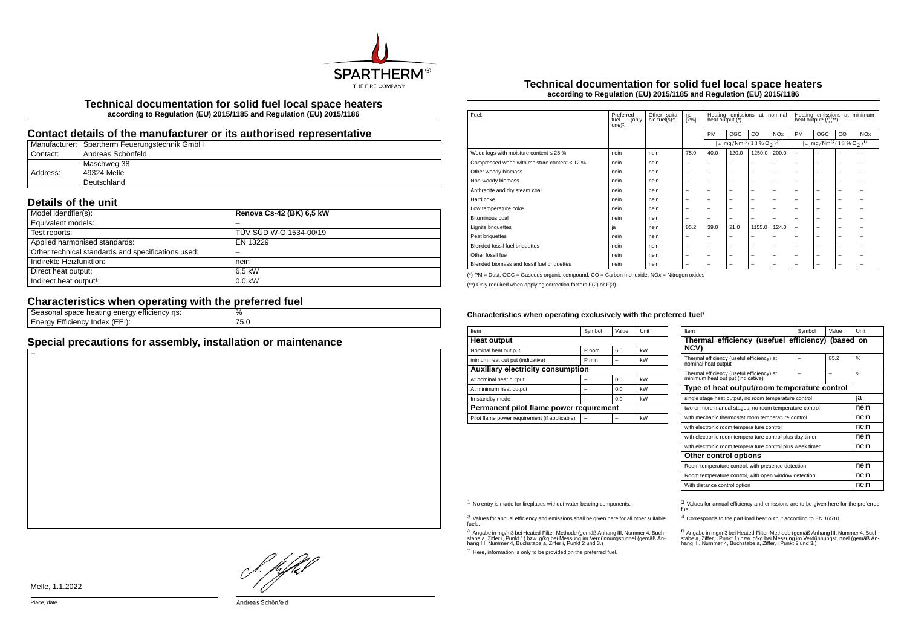

**Technical documentation for solid fuel local space heaters according to Regulation (EU) 2015/1185 and Regulation (EU) 2015/1186**

## **Contact details of the manufacturer or its authorised representative**

|          | Manufacturer: Spartherm Feuerungstechnik GmbH |
|----------|-----------------------------------------------|
| Contact: | Andreas Schönfeld                             |
|          | Maschweg 38                                   |
| Address: | 49324 Melle                                   |
|          | Deutschland                                   |

## **Details of the unit**

| Model identifier(s):                               | Renova Cs-42 (BK) 6,5 kW |
|----------------------------------------------------|--------------------------|
| Equivalent models:                                 |                          |
| Test reports:                                      | TÜV SÜD W-O 1534-00/19   |
| Applied harmonised standards:                      | EN 13229                 |
| Other technical standards and specifications used: |                          |
| Indirekte Heizfunktion:                            | nein                     |
| Direct heat output:                                | 6.5 kW                   |
| Indirect heat output <sup>1</sup> :                | $0.0$ kW                 |

# **Characteristics when operating with the preferred fuel**

| ns:<br>emcienc<br>$\mathbf{u}$<br>sonai<br>suaut                  | Ψ'n |
|-------------------------------------------------------------------|-----|
| $\sim$<br>' ⊢ ⊢ !<br>nae<br>. <i>.</i> .<br>$- \cdot \cdot$<br>o. | J.U |
|                                                                   |     |

## **Special precautions for assembly, installation or maintenance**

### **Technical documentation for solid fuel local space heaters according to Regulation (EU) 2015/1185 and Regulation (EU) 2015/1186**

| Fuel:                                        | Preferred<br>fuel<br>(only<br>one $)^2$ : | Other suita-<br>ble fuel(s) <sup>3</sup> : | ηs<br>[x%]:              | Heating emissions at nominal<br>heat output (*) |                                                                |                          | Heating emissions at minimum<br>heat output <sup>4</sup> $(*)$ (**) |                                                        |     |    |                       |
|----------------------------------------------|-------------------------------------------|--------------------------------------------|--------------------------|-------------------------------------------------|----------------------------------------------------------------|--------------------------|---------------------------------------------------------------------|--------------------------------------------------------|-----|----|-----------------------|
|                                              |                                           |                                            |                          | PM                                              | OGC                                                            | CO                       | <b>NO<sub>x</sub></b>                                               | PM                                                     | OGC | CO | <b>NO<sub>x</sub></b> |
|                                              |                                           |                                            |                          |                                                 | $[x]$ mg/Nm <sup>3</sup> $(13\%$ O <sub>2</sub> ) <sup>5</sup> |                          |                                                                     | $[x]$ mg/Nm $^3$ $(13\%$ O <sub>2</sub> ) <sup>6</sup> |     |    |                       |
| Wood logs with moisture content $\leq 25$ %  | nein                                      | nein                                       | 75.0                     | 40.0                                            | 120.0                                                          | 1250.0                   | 200.0                                                               | $\overline{\phantom{0}}$                               | -   |    | -                     |
| Compressed wood with moisture content < 12 % | nein                                      | nein                                       | -                        | -                                               | $\overline{\phantom{a}}$                                       | -                        | -                                                                   | -                                                      | -   | -  | -                     |
| Other woody biomass                          | nein                                      | nein                                       | $\overline{\phantom{a}}$ | $\overline{\phantom{0}}$                        | $\overline{\phantom{0}}$                                       | -                        | -                                                                   | -                                                      | -   | -  | -                     |
| Non-woody biomass                            | nein                                      | nein                                       | $\overline{\phantom{a}}$ | $\overline{\phantom{0}}$                        | $\overline{\phantom{0}}$                                       | -                        | -                                                                   | -                                                      | -   | -  | -                     |
| Anthracite and dry steam coal                | nein                                      | nein                                       | $\overline{\phantom{a}}$ | $\overline{\phantom{0}}$                        | $\overline{\phantom{0}}$                                       | -                        | -                                                                   | -                                                      | -   | -  | -                     |
| Hard coke                                    | nein                                      | nein                                       | $\overline{\phantom{a}}$ | $\overline{\phantom{0}}$                        | $\overline{\phantom{0}}$                                       | -                        | -                                                                   | $\overline{\phantom{0}}$                               | -   | -  | -                     |
| Low temperature coke                         | nein                                      | nein                                       | $\overline{\phantom{a}}$ | -                                               | $\overline{\phantom{0}}$                                       | -                        | -                                                                   | -                                                      | -   | -  | -                     |
| Bituminous coal                              | nein                                      | nein                                       | $\overline{\phantom{a}}$ | -                                               | -                                                              | -                        | -                                                                   | -                                                      | -   | -  | -                     |
| Lignite briguettes                           | ja                                        | nein                                       | 85.2                     | 39.0                                            | 21.0                                                           | 1155.0                   | 124.0                                                               | $\overline{\phantom{0}}$                               | -   | -  | -                     |
| Peat briquettes                              | nein                                      | nein                                       | -                        | -                                               | $\overline{\phantom{0}}$                                       | -                        | -                                                                   | -                                                      | -   | -  | -                     |
| Blended fossil fuel briquettes               | nein                                      | nein                                       | $\overline{\phantom{a}}$ | $\overline{\phantom{0}}$                        | $\overline{\phantom{0}}$                                       | -                        | -                                                                   | -                                                      | -   | -  | -                     |
| Other fossil fue                             | nein                                      | nein                                       | $\overline{\phantom{a}}$ | $\overline{\phantom{m}}$                        | $\overline{\phantom{0}}$                                       | $\overline{\phantom{0}}$ | -                                                                   | $\overline{\phantom{0}}$                               | -   | -  | -                     |
| Blended biomass and fossil fuel briquettes   | nein                                      | nein                                       | $\overline{\phantom{m}}$ | $\overline{\phantom{m}}$                        | $\overline{\phantom{0}}$                                       | -                        | -                                                                   | -                                                      | -   | -  | -                     |
|                                              |                                           |                                            |                          |                                                 |                                                                |                          |                                                                     |                                                        |     |    |                       |

(\*) PM = Dust, OGC = Gaseous organic compound, CO = Carbon monoxide, NOx = Nitrogen oxides

(\*\*) Only required when applying correction factors F(2) or F(3).

#### Characteristics when operating exclusively with the preferred fuel<sup>7</sup>

| Item                                          | Symbol | Value | Unit |  |  |  |
|-----------------------------------------------|--------|-------|------|--|--|--|
| <b>Heat output</b>                            |        |       |      |  |  |  |
| Nominal heat out put                          | P nom  | 6.5   | kW   |  |  |  |
| inimum heat out put (indicative)              | P min  |       | kW   |  |  |  |
| Auxiliary electricity consumption             |        |       |      |  |  |  |
| At nominal heat output                        |        | 0.0   | kW   |  |  |  |
| At minimum heat output                        |        | 0.0   | kW   |  |  |  |
| In standby mode                               |        | 0.0   | kW   |  |  |  |
| Permanent pilot flame power requirement       |        |       |      |  |  |  |
| Pilot flame power requirement (if applicable) |        |       | kW   |  |  |  |

| Item                                                                           | Symbol | Value | Unit          |  |  |  |
|--------------------------------------------------------------------------------|--------|-------|---------------|--|--|--|
| Thermal efficiency (usefuel efficiency) (based on<br>NCV)                      |        |       |               |  |  |  |
| Thermal efficiency (useful efficiency) at<br>nominal heat output               |        | 85.2  | $\frac{0}{6}$ |  |  |  |
| Thermal efficiency (useful efficiency) at<br>minimum heat out put (indicative) |        |       | $\frac{0}{6}$ |  |  |  |
| Type of heat output/room temperature control                                   |        |       |               |  |  |  |
| single stage heat output, no room temperature control                          |        |       | ia            |  |  |  |
| two or more manual stages, no room temperature control                         | nein   |       |               |  |  |  |
| with mechanic thermostat room temperature control                              | nein   |       |               |  |  |  |
| with electronic room tempera ture control                                      |        |       | nein          |  |  |  |
| with electronic room tempera ture control plus day timer                       |        |       | nein          |  |  |  |
| with electronic room tempera ture control plus week timer                      |        |       | nein          |  |  |  |
| Other control options                                                          |        |       |               |  |  |  |
| Room temperature control, with presence detection                              | nein   |       |               |  |  |  |
| Room temperature control, with open window detection                           | nein   |       |               |  |  |  |
| With distance control option                                                   |        |       | nein          |  |  |  |

3 Values for annual efficiency and emissions shall be given here for all other suitable fuels.

.<br>5 Angabe a, Ziffer i, Punkt 1) bzw. g/kg bei Messung im Verdünnungstunnel (gemäß An-<br>hang III, Nummer 4, Buchstabe a, Ziffer i, Punkt 2 und 3.)<br>hang III, Nummer 4, Buchstabe a, Ziffer i, Punkt 2 und 3.)

7 Here, information is only to be provided on the preferred fuel.

 $1$  No entry is made for fireplaces without water-bearing components.  $2$  Values for annual efficiency and emissions are to be given here for the preferred fuel.

4 Corresponds to the part load heat output according to EN 16510.

.<br>stabe a, Ziffer, i Punkt 1) bzw. g/kg bei Messung im Verdünnungstunner 4, Buch-<br>hang III, Nummer 4, Buchstabe a, Ziffer, i Punkt 2 und 3.)<br>hang III, Nummer 4, Buchstabe a, Ziffer, i Punkt 2 und 3.)

J pffst

Melle, 1.1.2022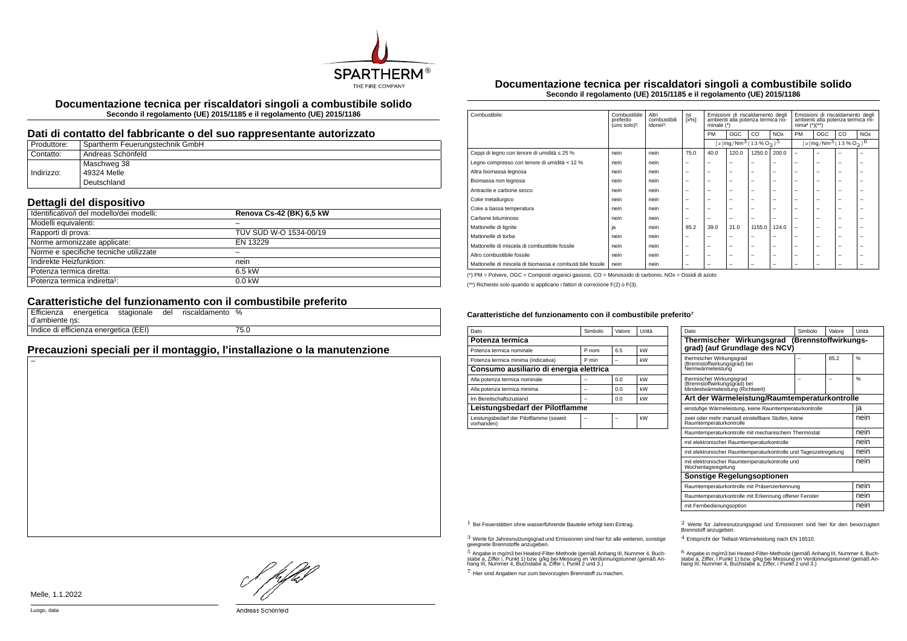

**Documentazione tecnica per riscaldatori singoli a combustibile solido Secondo il regolamento (UE) 2015/1185 e il regolamento (UE) 2015/1186**

#### **Dati di contatto del fabbricante o del suo rappresentante autorizzato**

| Produttore: | Spartherm Feuerungstechnik GmbH |
|-------------|---------------------------------|
| Contatto:   | Andreas Schönfeld               |
|             | Maschweg 38                     |
| Indirizzo:  | 49324 Melle                     |
|             | Deutschland                     |

## **Dettagli del dispositivo**

| <br>Identificativo/i del modello/dei modelli: | Renova Cs-42 (BK) 6,5 kW |
|-----------------------------------------------|--------------------------|
| Modelli equivalenti:                          |                          |
| Rapporti di prova:                            | TÜV SÜD W-O 1534-00/19   |
| Norme armonizzate applicate:                  | EN 13229                 |
| Norme e specifiche tecniche utilizzate        |                          |
| Indirekte Heizfunktion:                       | nein                     |
| Potenza termica diretta:                      | 6.5 kW                   |
| Potenza termica indiretta <sup>1</sup> :      | $0.0$ kW                 |

# **Caratteristiche del funzionamento con il combustibile preferito**

| d'ambiente ns: |                                       |  | Efficienza energetica stagionale del riscaldamento % |      |
|----------------|---------------------------------------|--|------------------------------------------------------|------|
|                | Indice di efficienza energetica (EEI) |  |                                                      | 75.0 |

# **Precauzioni speciali per il montaggio, l'installazione o la manutenzione**

**Documentazione tecnica per riscaldatori singoli a combustibile solido Secondo il regolamento (UE) 2015/1185 e il regolamento (UE) 2015/1186**

| Combustibile:                                             | Combustibile<br>preferito<br>(uno solo) <sup>2</sup> : | Altri<br>combustibili<br>idonei <sup>3</sup> : | ηs<br>[x%]:              | Emissioni di riscaldamento degli<br>ambienti alla potenza termica no-<br>minale (*) |                          | Emissioni di riscaldamento degli<br>ambienti alla potenza termica mi-<br>$nima4 (*)(**)$ |                          |                                                 |                          |                          |                       |
|-----------------------------------------------------------|--------------------------------------------------------|------------------------------------------------|--------------------------|-------------------------------------------------------------------------------------|--------------------------|------------------------------------------------------------------------------------------|--------------------------|-------------------------------------------------|--------------------------|--------------------------|-----------------------|
|                                                           |                                                        |                                                |                          | PM                                                                                  | <b>OGC</b>               | CO                                                                                       | <b>NO<sub>x</sub></b>    | PM                                              | OGC                      | CO                       | <b>NO<sub>x</sub></b> |
|                                                           |                                                        |                                                |                          | $[x \, \text{mg}/\text{Nm}^3 \, (13 \, \%\, \text{O}_2)^5$                          |                          |                                                                                          |                          | $[x \text{mg}/\text{Nm}^3 (13\% \text{O}_2)^6]$ |                          |                          |                       |
| Ceppi di legno con tenore di umidità ≤ 25 %               | nein                                                   | nein                                           | 75.0                     | 40.0                                                                                | 120.0                    | 1250.0                                                                                   | 200.0                    | $\overline{\phantom{0}}$                        | -                        | -                        |                       |
| Legno compresso con tenore di umidità < 12 %              | nein                                                   | nein                                           | $\overline{\phantom{m}}$ | $\overline{\phantom{a}}$                                                            | $\overline{\phantom{a}}$ | -                                                                                        | -                        | -                                               | $\overline{\phantom{0}}$ | $\overline{\phantom{0}}$ |                       |
| Altra biomassa legnosa                                    | nein                                                   | nein                                           | $\overline{\phantom{0}}$ | $\overline{\phantom{0}}$                                                            | $\overline{\phantom{a}}$ | -                                                                                        | -                        | -                                               | $\overline{\phantom{0}}$ | -                        |                       |
| Biomassa non legnosa                                      | nein                                                   | nein                                           | $\overline{\phantom{0}}$ | $\overline{\phantom{a}}$                                                            | $\overline{\phantom{a}}$ | -                                                                                        | -                        | -                                               | -                        | -                        |                       |
| Antracite e carbone secco                                 | nein                                                   | nein                                           | $\overline{\phantom{0}}$ | $\overline{\phantom{0}}$                                                            | $\overline{\phantom{a}}$ | -                                                                                        | -                        | $\overline{\phantom{a}}$                        | $\overline{\phantom{0}}$ | -                        |                       |
| Coke metallurgico                                         | nein                                                   | nein                                           | $\overline{\phantom{0}}$ | $\overline{\phantom{0}}$                                                            | $\overline{\phantom{0}}$ | -                                                                                        | -                        | $\overline{\phantom{a}}$                        | $\overline{\phantom{0}}$ | -                        | -                     |
| Coke a bassa temperatura                                  | nein                                                   | nein                                           | $\overline{\phantom{0}}$ | $\overline{\phantom{0}}$                                                            | $\overline{\phantom{a}}$ | -                                                                                        | -                        | $\overline{\phantom{a}}$                        | -                        | -                        |                       |
| Carbone bituminoso                                        | nein                                                   | nein                                           | $\overline{\phantom{0}}$ | $\overline{\phantom{0}}$                                                            | $\overline{\phantom{a}}$ | -                                                                                        | -                        | -                                               | $\overline{\phantom{0}}$ | -                        |                       |
| Mattonelle di lignite                                     | ja                                                     | nein                                           | 85.2                     | 39.0                                                                                | 21.0                     | 1155.0                                                                                   | 124.0                    | -                                               | -                        | -                        |                       |
| Mattonelle di torba                                       | nein                                                   | nein                                           | $\overline{\phantom{a}}$ | -                                                                                   | -                        |                                                                                          | ۰                        | -                                               | -                        | -                        |                       |
| Mattonelle di miscela di combustibile fossile             | nein                                                   | nein                                           | $\overline{\phantom{m}}$ | $\overline{\phantom{0}}$                                                            | $\overline{\phantom{0}}$ | -                                                                                        | -                        | $\overline{\phantom{a}}$                        | $\overline{\phantom{0}}$ | -                        | -                     |
| Altro combustibile fossile                                | nein                                                   | nein                                           | $\overline{\phantom{0}}$ | $\overline{\phantom{0}}$                                                            | $\overline{\phantom{0}}$ | $\overline{\phantom{0}}$                                                                 | $\overline{\phantom{0}}$ | $\overline{\phantom{a}}$                        | $\overline{\phantom{0}}$ | $\overline{\phantom{0}}$ | -                     |
| Mattonelle di miscela di biomassa e combusti bile fossile | nein                                                   | nein                                           | $\overline{\phantom{0}}$ | $\overline{\phantom{0}}$                                                            | $\overline{\phantom{0}}$ | -                                                                                        | -                        | -                                               | -                        | -                        |                       |

(\*) PM = Polvere, OGC = Composti organici gassosi, CO = Monossido di carbonio, NOx = Ossidi di azoto

(\*\*) Richiesto solo quando si applicano i fattori di correzione F(2) o F(3).

#### Caratteristiche del funzionamento con il combustibile preferito<sup>7</sup>

| Dato                                                  | Simbolo | Valore | Unità |  |  |  |
|-------------------------------------------------------|---------|--------|-------|--|--|--|
| Potenza termica                                       |         |        |       |  |  |  |
| Potenza termica nominale                              | P nom   | 6.5    | kW    |  |  |  |
| Potenza termica minima (indicativa)                   | P min   |        | kW    |  |  |  |
| Consumo ausiliario di energia elettrica               |         |        |       |  |  |  |
| Alla potenza termica nominale                         |         | 0.0    | kW    |  |  |  |
| Alla potenza termica minima                           |         | 0.0    | kW    |  |  |  |
| Im Bereitschaftszustand                               |         | 0.0    | kW    |  |  |  |
| Leistungsbedarf der Pilotflamme                       |         |        |       |  |  |  |
| Leistungsbedarf der Pilotflamme (soweit<br>vorhanden) |         |        | kW    |  |  |  |

| Dato                                                                                         | Simbolo | Valore | Unità |  |
|----------------------------------------------------------------------------------------------|---------|--------|-------|--|
| Thermischer Wirkungsgrad (Brennstoffwirkungs-<br>grad) (auf Grundlage des NCV)               |         |        |       |  |
| thermischer Wirkungsgrad<br>(Brennstoffwirkungsgrad) bei<br>Nennwärmeleistung                |         | 85.2   | %     |  |
| thermischer Wirkungsgrad<br>(Brennstoffwirkungsgrad) bei<br>Mindestwärmeleistung (Richtwert) |         |        | 0/6   |  |
| Art der Wärmeleistung/Raumtemperaturkontrolle                                                |         |        |       |  |
| einstufige Wärmeleistung, keine Raumtemperaturkontrolle                                      |         |        | ia    |  |
| zwei oder mehr manuell einstellbare Stufen, keine<br>Raumtemperaturkontrolle                 |         |        | nein  |  |
| Raumtemperaturkontrolle mit mechanischem Thermostat                                          |         |        | nein  |  |
| mit elektronischer Raumtemperaturkontrolle                                                   |         |        | nein  |  |
| mit elektronischer Raumtemperaturkontrolle und Tageszeitregelung                             |         |        | nein  |  |
| mit elektronischer Raumtemperaturkontrolle und<br>Wochentagsregelung                         |         |        | nein  |  |
| Sonstige Regelungsoptionen                                                                   |         |        |       |  |
| Raumtemperaturkontrolle mit Präsenzerkennung                                                 |         |        |       |  |
| Raumtemperaturkontrolle mit Erkennung offener Fenster                                        |         |        |       |  |
| mit Fernbedienungsoption                                                                     | nein    |        |       |  |

3 Werte für Jahresnutzungsgrad und Emissionen sind hier für alle weiteren, sonstige geeignete Brennstoffe anzugeben.

.<br>5 Angabe in mg/m3 bei Heated-Filter-Methode (gemäß Anhang III, Nummer 4, Buch-<br>stabe a, Ziffer i, Punkt 1) bzw. g/kg bei Nessung im Verdünnungstunnel (gemäß An-<br>hang III, Nummer 4, Buchstabe a, Ziffer i, Punkt 2 und 3.)

7 Hier sind Angaben nur zum bevorzugten Brennstoff zu machen.

1 Bei Feuerstätten ohne wasserführende Bauteile erfolgt kein Eintrag. 2 Werte für Jahresnutzungsgrad und Emissionen sind hier für den bevorzugten Brennstoff anzugeben.

4 Entspricht der Teillast-Wärmeleistung nach EN 16510.

.<br>stabe a, Ziffer, i Punkt 1) bzw. g/kg bei Messung im Verdünnungstunnel (gemäß An-<br>hang III, Nummer 4, Buchstabe a, Ziffer, i Punkt 2 und 3.)<br>hang III, Nummer 4, Buchstabe a, Ziffer, i Punkt 2 und 3.)

Melle, 1.1.2022